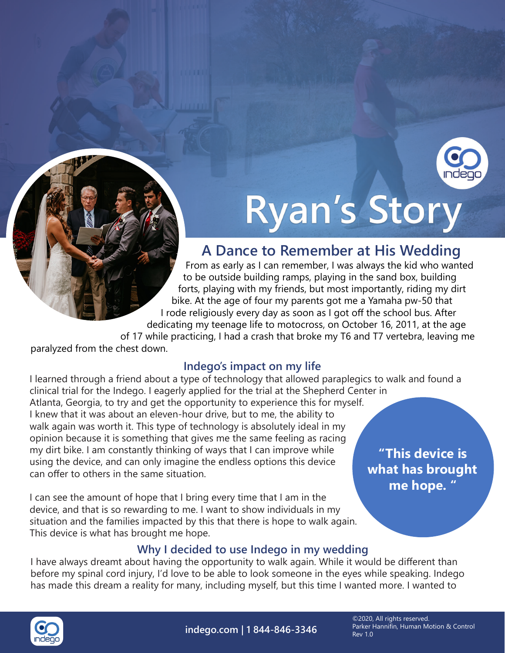

# Ryan's Story

# **A Dance to Remember at His Wedding**

From as early as I can remember, I was always the kid who wanted to be outside building ramps, playing in the sand box, building forts, playing with my friends, but most importantly, riding my dirt bike. At the age of four my parents got me a Yamaha pw-50 that I rode religiously every day as soon as I got off the school bus. After dedicating my teenage life to motocross, on October 16, 2011, at the age of 17 while practicing, I had a crash that broke my T6 and T7 vertebra, leaving me

paralyzed from the chest down.

### **Indego's impact on my life**

I learned through a friend about a type of technology that allowed paraplegics to walk and found a clinical trial for the Indego. I eagerly applied for the trial at the Shepherd Center in Atlanta, Georgia, to try and get the opportunity to experience this for myself. I knew that it was about an eleven-hour drive, but to me, the ability to walk again was worth it. This type of technology is absolutely ideal in my opinion because it is something that gives me the same feeling as racing my dirt bike. I am constantly thinking of ways that I can improve while using the device, and can only imagine the endless options this device can offer to others in the same situation.

I can see the amount of hope that I bring every time that I am in the device, and that is so rewarding to me. I want to show individuals in my situation and the families impacted by this that there is hope to walk again. This device is what has brought me hope.

**"This device is what has brought me hope. "**

## **Why I decided to use Indego in my wedding**

I have always dreamt about having the opportunity to walk again. While it would be different than before my spinal cord injury, I'd love to be able to look someone in the eyes while speaking. Indego has made this dream a reality for many, including myself, but this time I wanted more. I wanted to



**indego.com | 1 844-846-3346**